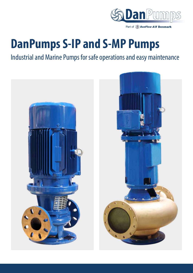

Part of SonFlow A/S Denmark

# **DanPumps S-IP and S-MP Pumps**

Industrial and Marine Pumps for safe operations and easy maintenance

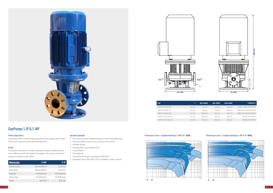![](_page_1_Figure_16.jpeg)

![](_page_1_Figure_21.jpeg)

![](_page_1_Figure_23.jpeg)

![](_page_1_Figure_19.jpeg)

![](_page_1_Picture_0.jpeg)

## DanPumps S-IP & S-MP

## Product Applications

Danpumps offers a wide range of pumps for any application within the marine, industrial and chemical industries.

#### Design

The pump is based on a unique hydraulic design combining maximum efficiency with the highest standards. The pump is based on design according to ISO 2858.

| <b>Materials</b> | S-MP         | $S-IP$       |
|------------------|--------------|--------------|
| Pump house       | Bronze/RG10  | Cast iron    |
| Back plate       | Bronze/RG10  | Cast iron    |
| Impeller         | Ni.Al.Bronze | Ni.Al.Bronze |
| Wear rings       | Ni.Al.Bronze | Ni.Al.Bronze |
| Shaft            | AISI 329     | AISI 329     |

#### Operation Standards

- The volute and the impeller design ensures high efficiency
- Accurate balancing ensures a very low noise level
- Flexible design
- Designed for easy maintenance
- Long lifetime
- Cost optimal
- Connections flanges according to EN1092-1
- Standard colour, Blue RAL 5010. Available in other colours

| <b>Type</b>           | F                | <b>Max. Height</b> | Max. Width | <b>Total Length</b> | $E(EN1092-1)$            |
|-----------------------|------------------|--------------------|------------|---------------------|--------------------------|
| S-MP/S-IP 40-40-200   | $122 \text{ mm}$ | 821 mm             | 350 mm     | 360 mm              | DN32 + Dn40, PN10/PN16   |
| S-MP/S-IP 80-80-174   | 140 mm           | 965 mm             | 350 mm     | 400 mm              | DN65/-80/-100, PN10/PN16 |
| S-MP/S-IP 80-80-220   | 141 mm           | 1004 mm            | 350 mm     | 450 mm              | DN65/-80/-100, PN10/PN16 |
| S-MP/S-IP 100-100-220 | $175 \text{ mm}$ | 1058 mm            | 443 mm     | 500 mm              | DN100, PN10/PN16         |
| S-MP/S-IP 100-100-315 | 157 mm           | 1139 mm            | 520 mm     | 630 mm              | DN100, PN10/PN16         |

#### Performance Curves - Complete DanPumps-S-MP/S-IP - **50 Hz** Performance Curves - Complete DanPumps-S-MP/S-IP - **60 Hz**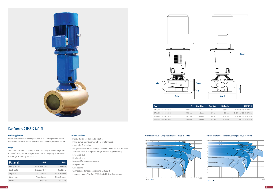![](_page_2_Figure_19.jpeg)

![](_page_2_Figure_24.jpeg)

![](_page_2_Figure_26.jpeg)

![](_page_2_Figure_22.jpeg)

![](_page_2_Picture_0.jpeg)

# DanPumps S-IP & S-MP-2L

#### Product Applications

Danpumps offers a wide range of pumps for any application within the marine sector as well as industrial and chemical processin plants.

#### Design

The pump is based on a unique hydraulic design, combining maximum efficiency with the highest standards. The pump is based on the design according to ISO 2858.

| <b>Materials</b> | S-MP         | $S-IP$       |
|------------------|--------------|--------------|
| Pump house       | Bronze/RG10  | Cast iron    |
| Back plate       | Bronze/RG10  | Cast iron    |
| Impeller         | Ni.Al.Bronze | Ni.Al.Bronze |
| Wear rings       | Ni.Al.Bronze | Ni.Al.Bronze |
| Shaft            | AISI 329     | AISI 329     |

#### Operation Standards

- Sturdy design for demanding duties
- Inline pump, easy to remove from rotatory parts - top pull-off principle
- Designed with double bearings between the motor and impeller
- The volute and the impeller design ensures high efficiency
- Low noise level
- Flexible design
- Designed for easy maintenance
- Long lifetime
- Cost optimal
- Connections flanges according to EN1092-1
- Standard colour, Blue RAL 5010. Available in other colours

| <b>Type</b>              |                     | Max. Height | Max. Width | <b>Total Length</b> | E (EN1092-1)             |
|--------------------------|---------------------|-------------|------------|---------------------|--------------------------|
| S-MP/S-IP 100-100-315-2L | $122 \,\mathrm{mm}$ | 821 mm      | 350 mm     | 360 mm              | DN32 + Dn40, PN10/PN16   |
| S-MP/S-IP 150-150-250-2L | 140 mm              | 965 mm      | 350 mm     | 400 mm              | DN65/-80/-100, PN10/PN16 |
| S-MP/S-IP 200-200-250-2L | 141 mm              | 1004 mm     | 350 mm     | 450 mm              | DN65/-80/-100, PN10/PN16 |
| S-MP/S-IP 250-250-350-2L | $175 \text{ mm}$    | 1058 mm     | 443 mm     | 500 mm              | DN100, PN10/PN16         |

### Performance Curves - Complete DanPumps S-MP/S-IP - **50 Hz** Performance Curves - Complete DanPumps S-MP/S-IP - **60 Hz**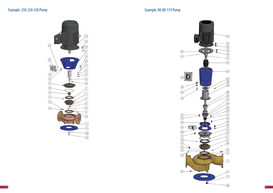![](_page_3_Figure_4.jpeg)

 $\begin{array}{c} \textcircled{2} \end{array}$ 

 $\circ$ 

 $\odot$   $\boxed{D}$ 

 $\mathbf{I}$ 

 $\circledcirc$ 

 $\bigodot$ 

 $\circled{23}$ 

 $(23)$ 

 $\sqrt{16}$ 

 $\circled{3}$ 

 $\circled{38}$ 

৽ 40 ( ရှ

 $\begin{pmatrix} 32 \\ 12 \end{pmatrix}$ 

 $\boxed{10}$ 

 $\circled{35}$ 

 $\sqrt{D}$ 

![](_page_3_Picture_2.jpeg)